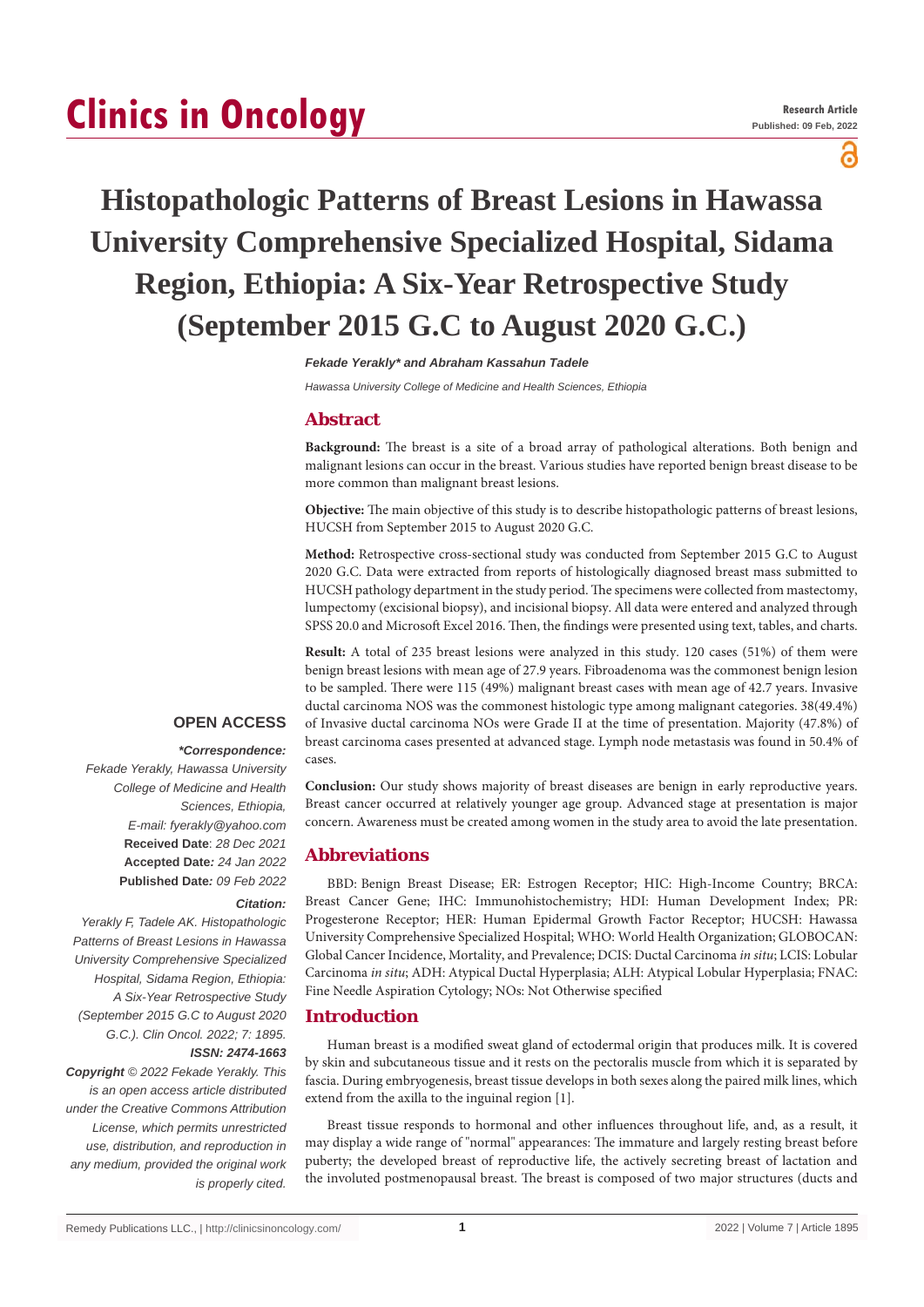# **Clinics in Oncology**

ဥ

# **Histopathologic Patterns of Breast Lesions in Hawassa University Comprehensive Specialized Hospital, Sidama Region, Ethiopia: A Six-Year Retrospective Study (September 2015 G.C to August 2020 G.C.)**

*Fekade Yerakly\* and Abraham Kassahun Tadele*

*Hawassa University College of Medicine and Health Sciences, Ethiopia*

# **Abstract**

**Background:** The breast is a site of a broad array of pathological alterations. Both benign and malignant lesions can occur in the breast. Various studies have reported benign breast disease to be more common than malignant breast lesions.

**Objective:** The main objective of this study is to describe histopathologic patterns of breast lesions, HUCSH from September 2015 to August 2020 G.C.

**Method:** Retrospective cross-sectional study was conducted from September 2015 G.C to August 2020 G.C. Data were extracted from reports of histologically diagnosed breast mass submitted to HUCSH pathology department in the study period. The specimens were collected from mastectomy, lumpectomy (excisional biopsy), and incisional biopsy. All data were entered and analyzed through SPSS 20.0 and Microsoft Excel 2016. Then, the findings were presented using text, tables, and charts.

**Result:** A total of 235 breast lesions were analyzed in this study. 120 cases (51%) of them were benign breast lesions with mean age of 27.9 years. Fibroadenoma was the commonest benign lesion to be sampled. There were 115 (49%) malignant breast cases with mean age of 42.7 years. Invasive ductal carcinoma NOS was the commonest histologic type among malignant categories. 38(49.4%) of Invasive ductal carcinoma NOs were Grade II at the time of presentation. Majority (47.8%) of breast carcinoma cases presented at advanced stage. Lymph node metastasis was found in 50.4% of cases.

**Conclusion:** Our study shows majority of breast diseases are benign in early reproductive years. Breast cancer occurred at relatively younger age group. Advanced stage at presentation is major concern. Awareness must be created among women in the study area to avoid the late presentation.

# **Abbreviations**

BBD: Benign Breast Disease; ER: Estrogen Receptor; HIC: High-Income Country; BRCA: Breast Cancer Gene; IHC: Immunohistochemistry; HDI: Human Development Index; PR: Progesterone Receptor; HER: Human Epidermal Growth Factor Receptor; HUCSH: Hawassa University Comprehensive Specialized Hospital; WHO: World Health Organization; GLOBOCAN: Global Cancer Incidence, Mortality, and Prevalence; DCIS: Ductal Carcinoma *in situ*; LCIS: Lobular Carcinoma *in situ*; ADH: Atypical Ductal Hyperplasia; ALH: Atypical Lobular Hyperplasia; FNAC: Fine Needle Aspiration Cytology; NOs: Not Otherwise specified

## **Introduction**

Human breast is a modified sweat gland of ectodermal origin that produces milk. It is covered by skin and subcutaneous tissue and it rests on the pectoralis muscle from which it is separated by fascia. During embryogenesis, breast tissue develops in both sexes along the paired milk lines, which extend from the axilla to the inguinal region [1].

Breast tissue responds to hormonal and other influences throughout life, and, as a result, it may display a wide range of "normal" appearances: The immature and largely resting breast before puberty; the developed breast of reproductive life, the actively secreting breast of lactation and the involuted postmenopausal breast. The breast is composed of two major structures (ducts and

# **OPEN ACCESS**

 *\*Correspondence: Fekade Yerakly, Hawassa University College of Medicine and Health Sciences, Ethiopia, E-mail: fyerakly@yahoo.com* **Received Date**: *28 Dec 2021* **Accepted Date***: 24 Jan 2022* **Published Date***: 09 Feb 2022*

#### *Citation:*

*Yerakly F, Tadele AK. Histopathologic Patterns of Breast Lesions in Hawassa University Comprehensive Specialized Hospital, Sidama Region, Ethiopia: A Six-Year Retrospective Study (September 2015 G.C to August 2020 G.C.). Clin Oncol. 2022; 7: 1895. ISSN: 2474-1663*

*Copyright © 2022 Fekade Yerakly. This is an open access article distributed under the Creative Commons Attribution License, which permits unrestricted use, distribution, and reproduction in any medium, provided the original work is properly cited.*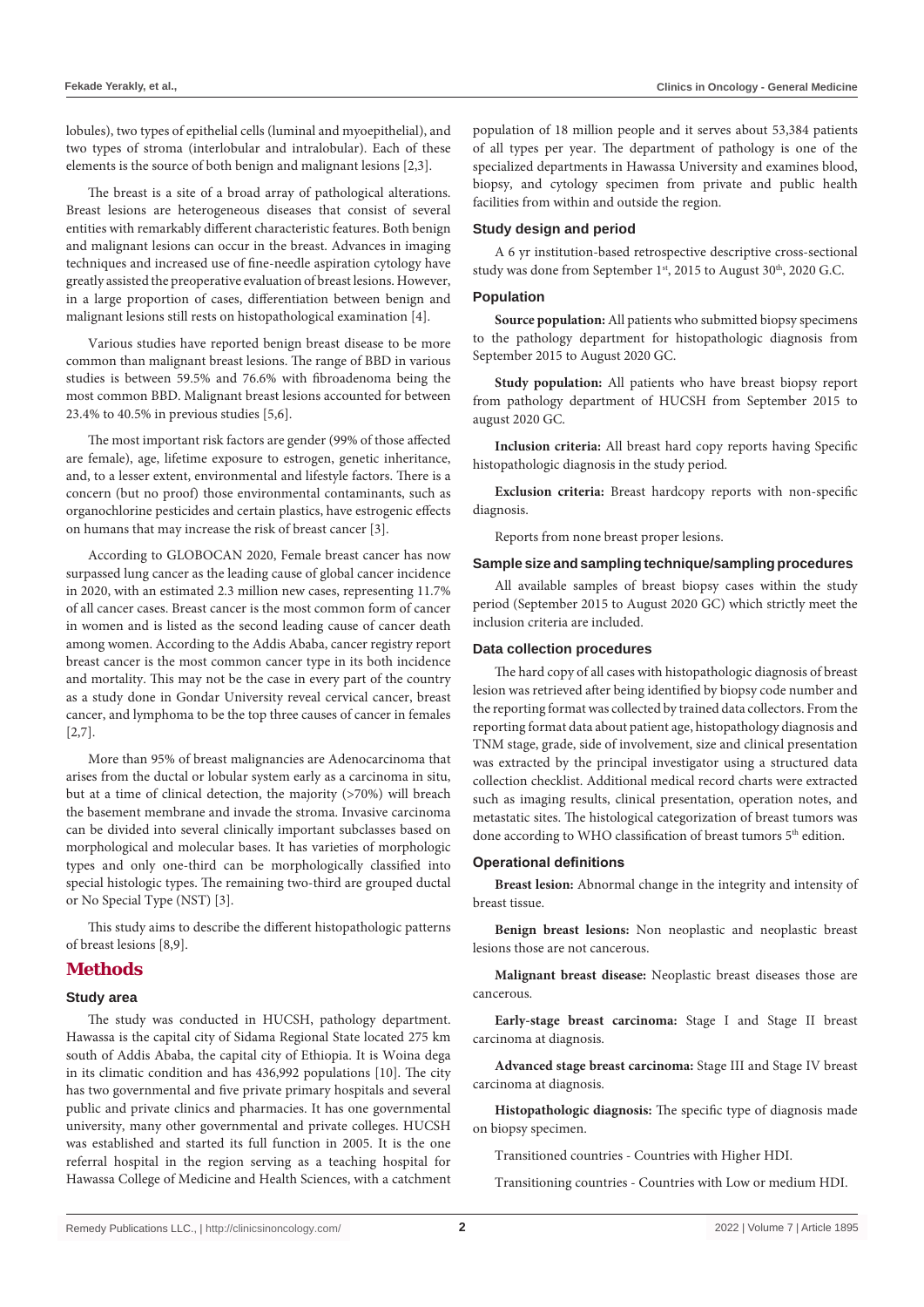lobules), two types of epithelial cells (luminal and myoepithelial), and two types of stroma (interlobular and intralobular). Each of these elements is the source of both benign and malignant lesions [2,3].

The breast is a site of a broad array of pathological alterations. Breast lesions are heterogeneous diseases that consist of several entities with remarkably different characteristic features. Both benign and malignant lesions can occur in the breast. Advances in imaging techniques and increased use of fine-needle aspiration cytology have greatly assisted the preoperative evaluation of breast lesions. However, in a large proportion of cases, differentiation between benign and malignant lesions still rests on histopathological examination [4].

Various studies have reported benign breast disease to be more common than malignant breast lesions. The range of BBD in various studies is between 59.5% and 76.6% with fibroadenoma being the most common BBD. Malignant breast lesions accounted for between 23.4% to 40.5% in previous studies [5,6].

The most important risk factors are gender (99% of those affected are female), age, lifetime exposure to estrogen, genetic inheritance, and, to a lesser extent, environmental and lifestyle factors. There is a concern (but no proof) those environmental contaminants, such as organochlorine pesticides and certain plastics, have estrogenic effects on humans that may increase the risk of breast cancer [3].

According to GLOBOCAN 2020, Female breast cancer has now surpassed lung cancer as the leading cause of global cancer incidence in 2020, with an estimated 2.3 million new cases, representing 11.7% of all cancer cases. Breast cancer is the most common form of cancer in women and is listed as the second leading cause of cancer death among women. According to the Addis Ababa, cancer registry report breast cancer is the most common cancer type in its both incidence and mortality. This may not be the case in every part of the country as a study done in Gondar University reveal cervical cancer, breast cancer, and lymphoma to be the top three causes of cancer in females [2,7].

More than 95% of breast malignancies are Adenocarcinoma that arises from the ductal or lobular system early as a carcinoma in situ, but at a time of clinical detection, the majority (>70%) will breach the basement membrane and invade the stroma. Invasive carcinoma can be divided into several clinically important subclasses based on morphological and molecular bases. It has varieties of morphologic types and only one-third can be morphologically classified into special histologic types. The remaining two-third are grouped ductal or No Special Type (NST) [3].

This study aims to describe the different histopathologic patterns of breast lesions [8,9].

# **Methods**

### **Study area**

The study was conducted in HUCSH, pathology department. Hawassa is the capital city of Sidama Regional State located 275 km south of Addis Ababa, the capital city of Ethiopia. It is Woina dega in its climatic condition and has 436,992 populations [10]. The city has two governmental and five private primary hospitals and several public and private clinics and pharmacies. It has one governmental university, many other governmental and private colleges. HUCSH was established and started its full function in 2005. It is the one referral hospital in the region serving as a teaching hospital for Hawassa College of Medicine and Health Sciences, with a catchment population of 18 million people and it serves about 53,384 patients of all types per year. The department of pathology is one of the specialized departments in Hawassa University and examines blood, biopsy, and cytology specimen from private and public health facilities from within and outside the region.

#### **Study design and period**

A 6 yr institution-based retrospective descriptive cross-sectional study was done from September 1<sup>st</sup>, 2015 to August 30<sup>th</sup>, 2020 G.C.

#### **Population**

**Source population:** All patients who submitted biopsy specimens to the pathology department for histopathologic diagnosis from September 2015 to August 2020 GC.

**Study population:** All patients who have breast biopsy report from pathology department of HUCSH from September 2015 to august 2020 GC.

**Inclusion criteria:** All breast hard copy reports having Specific histopathologic diagnosis in the study period.

**Exclusion criteria:** Breast hardcopy reports with non-specific diagnosis.

Reports from none breast proper lesions.

#### **Sample size and sampling technique/sampling procedures**

All available samples of breast biopsy cases within the study period (September 2015 to August 2020 GC) which strictly meet the inclusion criteria are included.

#### **Data collection procedures**

The hard copy of all cases with histopathologic diagnosis of breast lesion was retrieved after being identified by biopsy code number and the reporting format was collected by trained data collectors. From the reporting format data about patient age, histopathology diagnosis and TNM stage, grade, side of involvement, size and clinical presentation was extracted by the principal investigator using a structured data collection checklist. Additional medical record charts were extracted such as imaging results, clinical presentation, operation notes, and metastatic sites. The histological categorization of breast tumors was done according to WHO classification of breast tumors 5<sup>th</sup> edition.

#### **Operational definitions**

**Breast lesion:** Abnormal change in the integrity and intensity of breast tissue.

**Benign breast lesions:** Non neoplastic and neoplastic breast lesions those are not cancerous.

**Malignant breast disease:** Neoplastic breast diseases those are cancerous.

**Early-stage breast carcinoma:** Stage I and Stage II breast carcinoma at diagnosis.

**Advanced stage breast carcinoma:** Stage III and Stage IV breast carcinoma at diagnosis.

**Histopathologic diagnosis:** The specific type of diagnosis made on biopsy specimen.

Transitioned countries - Countries with Higher HDI.

Transitioning countries - Countries with Low or medium HDI.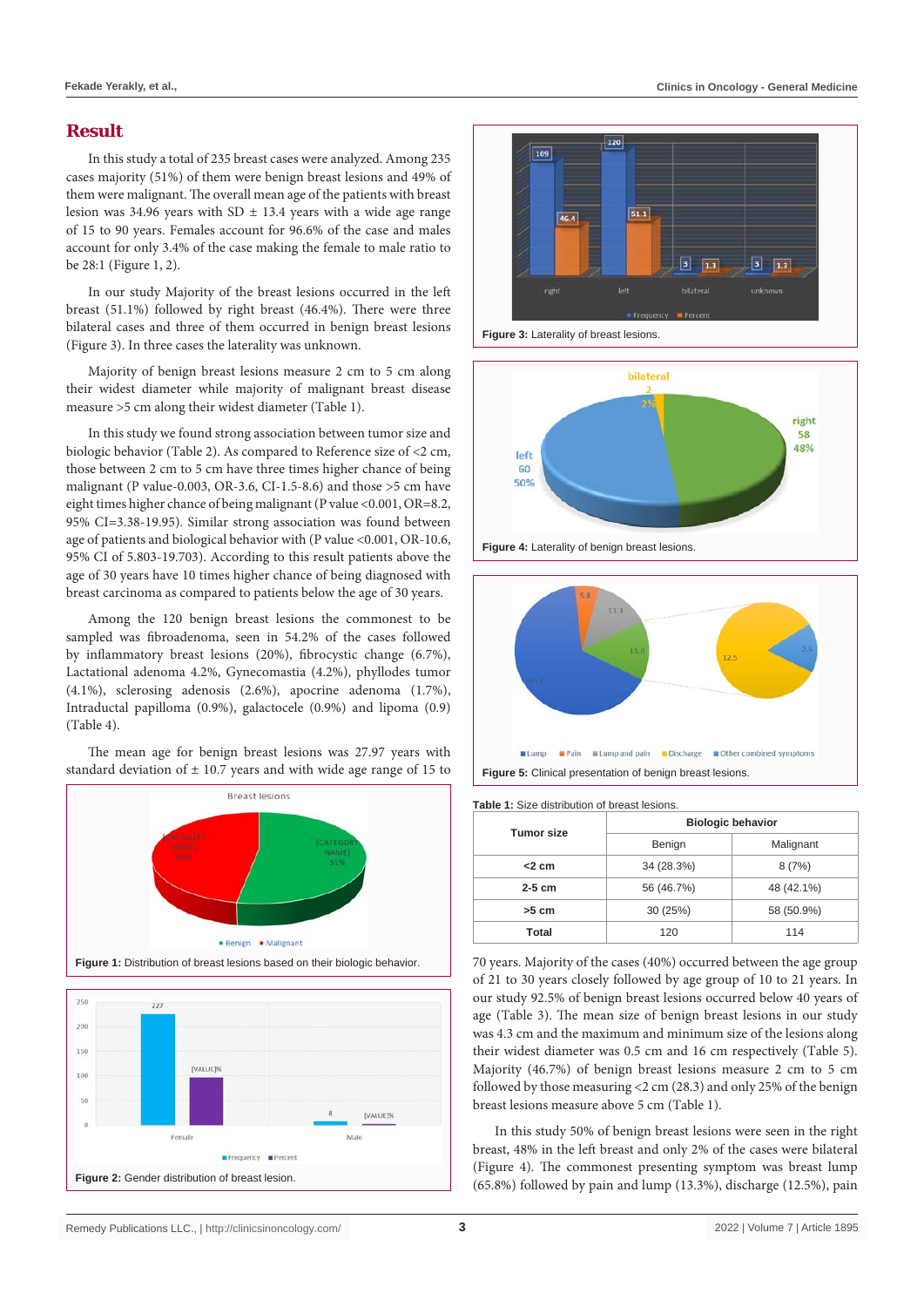# **Result**

In this study a total of 235 breast cases were analyzed. Among 235 cases majority (51%) of them were benign breast lesions and 49% of them were malignant. The overall mean age of the patients with breast lesion was 34.96 years with SD  $\pm$  13.4 years with a wide age range of 15 to 90 years. Females account for 96.6% of the case and males account for only 3.4% of the case making the female to male ratio to be 28:1 (Figure 1, 2).

In our study Majority of the breast lesions occurred in the left breast (51.1%) followed by right breast (46.4%). There were three bilateral cases and three of them occurred in benign breast lesions (Figure 3). In three cases the laterality was unknown.

Majority of benign breast lesions measure 2 cm to 5 cm along their widest diameter while majority of malignant breast disease measure >5 cm along their widest diameter (Table 1).

In this study we found strong association between tumor size and biologic behavior (Table 2). As compared to Reference size of <2 cm, those between 2 cm to 5 cm have three times higher chance of being malignant (P value-0.003, OR-3.6, CI-1.5-8.6) and those >5 cm have eight times higher chance of being malignant (P value <0.001, OR=8.2, 95% CI=3.38-19.95). Similar strong association was found between age of patients and biological behavior with (P value <0.001, OR-10.6, 95% CI of 5.803-19.703). According to this result patients above the age of 30 years have 10 times higher chance of being diagnosed with breast carcinoma as compared to patients below the age of 30 years.

Among the 120 benign breast lesions the commonest to be sampled was fibroadenoma, seen in 54.2% of the cases followed by inflammatory breast lesions (20%), fibrocystic change (6.7%), Lactational adenoma 4.2%, Gynecomastia (4.2%), phyllodes tumor (4.1%), sclerosing adenosis (2.6%), apocrine adenoma (1.7%), Intraductal papilloma (0.9%), galactocele (0.9%) and lipoma (0.9) (Table 4).

The mean age for benign breast lesions was 27.97 years with standard deviation of ± 10.7 years and with wide age range of 15 to













**Figure 4:** Laterality of benign breast lesions.



**Table 1:** Size distribution of breast lesions.

| <b>Tumor size</b> | <b>Biologic behavior</b> |            |  |  |
|-------------------|--------------------------|------------|--|--|
|                   | Benign                   | Malignant  |  |  |
| $<$ 2 cm          | 34 (28.3%)               | 8(7%)      |  |  |
| $2-5$ cm          | 56 (46.7%)               | 48 (42.1%) |  |  |
| $>5$ cm           | 30 (25%)                 | 58 (50.9%) |  |  |
| Total             | 120                      | 114        |  |  |

70 years. Majority of the cases (40%) occurred between the age group of 21 to 30 years closely followed by age group of 10 to 21 years. In our study 92.5% of benign breast lesions occurred below 40 years of age (Table 3). The mean size of benign breast lesions in our study was 4.3 cm and the maximum and minimum size of the lesions along their widest diameter was 0.5 cm and 16 cm respectively (Table 5). Majority (46.7%) of benign breast lesions measure 2 cm to 5 cm followed by those measuring <2 cm (28.3) and only 25% of the benign breast lesions measure above 5 cm (Table 1).

In this study 50% of benign breast lesions were seen in the right breast, 48% in the left breast and only 2% of the cases were bilateral (Figure 4). The commonest presenting symptom was breast lump (65.8%) followed by pain and lump (13.3%), discharge (12.5%), pain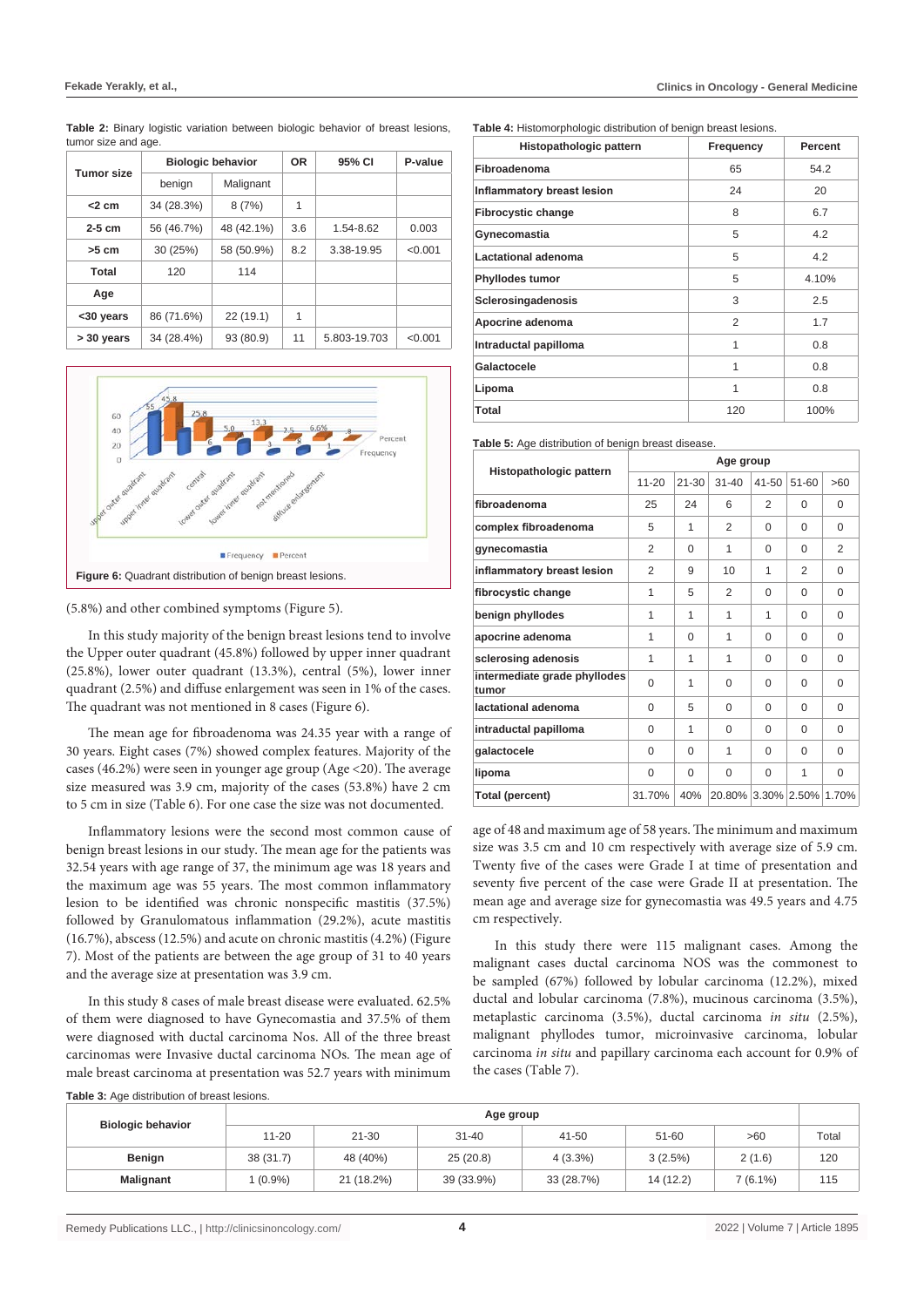| <b>Tumor size</b> |            | <b>Biologic behavior</b> | <b>OR</b> | 95% CI       | P-value |
|-------------------|------------|--------------------------|-----------|--------------|---------|
|                   | benign     | Malignant                |           |              |         |
| $<$ 2 cm          | 34 (28.3%) | 8(7%)                    | 1         |              |         |
| $2-5$ cm          | 56 (46.7%) | 48 (42.1%)               | 3.6       | 1.54-8.62    | 0.003   |
| $>5$ cm           | 30 (25%)   | 58 (50.9%)               | 8.2       | 3.38-19.95   | < 0.001 |
| Total             | 120        | 114                      |           |              |         |
| Age               |            |                          |           |              |         |
| <30 years         | 86 (71.6%) | 22(19.1)                 | 1         |              |         |
| > 30 years        | 34 (28.4%) | 93 (80.9)                | 11        | 5.803-19.703 | < 0.001 |

**Table 2:** Binary logistic variation between biologic behavior of breast lesions, tumor size and age.



(5.8%) and other combined symptoms (Figure 5).

In this study majority of the benign breast lesions tend to involve the Upper outer quadrant (45.8%) followed by upper inner quadrant (25.8%), lower outer quadrant (13.3%), central (5%), lower inner quadrant (2.5%) and diffuse enlargement was seen in 1% of the cases. The quadrant was not mentioned in 8 cases (Figure 6).

The mean age for fibroadenoma was 24.35 year with a range of 30 years. Eight cases (7%) showed complex features. Majority of the cases (46.2%) were seen in younger age group (Age <20). The average size measured was 3.9 cm, majority of the cases (53.8%) have 2 cm to 5 cm in size (Table 6). For one case the size was not documented.

Inflammatory lesions were the second most common cause of benign breast lesions in our study. The mean age for the patients was 32.54 years with age range of 37, the minimum age was 18 years and the maximum age was 55 years. The most common inflammatory lesion to be identified was chronic nonspecific mastitis (37.5%) followed by Granulomatous inflammation (29.2%), acute mastitis (16.7%), abscess (12.5%) and acute on chronic mastitis (4.2%) (Figure 7). Most of the patients are between the age group of 31 to 40 years and the average size at presentation was 3.9 cm.

In this study 8 cases of male breast disease were evaluated. 62.5% of them were diagnosed to have Gynecomastia and 37.5% of them were diagnosed with ductal carcinoma Nos. All of the three breast carcinomas were Invasive ductal carcinoma NOs. The mean age of male breast carcinoma at presentation was 52.7 years with minimum **Table 4:** Histomorphologic distribution of benign breast lesions.

| Histopathologic pattern    | Frequency | Percent |
|----------------------------|-----------|---------|
| Fibroadenoma               | 65        | 54.2    |
| Inflammatory breast lesion | 24        | 20      |
| <b>Fibrocystic change</b>  | 8         | 6.7     |
| Gynecomastia               | 5         | 4.2     |
| Lactational adenoma        | 5         | 4.2     |
| Phyllodes tumor            | 5         | 4.10%   |
| Sclerosingadenosis         | 3         | 2.5     |
| Apocrine adenoma           | 2         | 1.7     |
| Intraductal papilloma      | 1         | 0.8     |
| Galactocele                | 1         | 0.8     |
| Lipoma                     | 1         | 0.8     |
| Total                      | 120       | 100%    |

**Table 5:** Age distribution of benign breast disease.

|                                       | Age group |           |                          |           |           |          |  |
|---------------------------------------|-----------|-----------|--------------------------|-----------|-----------|----------|--|
| Histopathologic pattern               | $11 - 20$ | $21 - 30$ | $31 - 40$                | $41 - 50$ | $51 - 60$ | >60      |  |
| fibroadenoma                          | 25        | 24        | 6                        | 2         | $\Omega$  | 0        |  |
| complex fibroadenoma                  | 5         | 1         | $\overline{2}$           | $\Omega$  | $\Omega$  | $\Omega$ |  |
| gynecomastia                          | 2         | 0         | 1                        | $\Omega$  | $\Omega$  | 2        |  |
| inflammatory breast lesion            | 2         | 9         | 10                       | 1         | 2         | $\Omega$ |  |
| fibrocystic change                    | 1         | 5         | 2                        | 0         | $\Omega$  | $\Omega$ |  |
| benign phyllodes                      | 1         | 1         | 1                        | 1         | $\Omega$  | $\Omega$ |  |
| apocrine adenoma                      | 1         | $\Omega$  | 1                        | $\Omega$  | $\Omega$  | $\Omega$ |  |
| sclerosing adenosis                   | 1         | 1         | 1                        | 0         | $\Omega$  | $\Omega$ |  |
| intermediate grade phyllodes<br>tumor | $\Omega$  | 1         | $\Omega$                 | $\Omega$  | $\Omega$  | $\Omega$ |  |
| lactational adenoma                   | $\Omega$  | 5         | $\Omega$                 | $\Omega$  | $\Omega$  | $\Omega$ |  |
| intraductal papilloma                 | $\Omega$  | 1         | $\Omega$                 | $\Omega$  | $\Omega$  | $\Omega$ |  |
| galactocele                           | $\Omega$  | $\Omega$  | 1                        | $\Omega$  | $\Omega$  | $\Omega$ |  |
| lipoma                                | $\Omega$  | 0         | $\Omega$                 | $\Omega$  | 1         | $\Omega$ |  |
| Total (percent)                       | 31.70%    | 40%       | 20.80% 3.30% 2.50% 1.70% |           |           |          |  |

age of 48 and maximum age of 58 years. The minimum and maximum size was 3.5 cm and 10 cm respectively with average size of 5.9 cm. Twenty five of the cases were Grade I at time of presentation and seventy five percent of the case were Grade II at presentation. The mean age and average size for gynecomastia was 49.5 years and 4.75 cm respectively.

In this study there were 115 malignant cases. Among the malignant cases ductal carcinoma NOS was the commonest to be sampled (67%) followed by lobular carcinoma (12.2%), mixed ductal and lobular carcinoma (7.8%), mucinous carcinoma (3.5%), metaplastic carcinoma (3.5%), ductal carcinoma *in situ* (2.5%), malignant phyllodes tumor, microinvasive carcinoma, lobular carcinoma *in situ* and papillary carcinoma each account for 0.9% of the cases (Table 7).

| Table 3: Age distribution of breast lesions. |  |  |
|----------------------------------------------|--|--|
|                                              |  |  |

|                          | Age group |            |            |            |           |          |       |
|--------------------------|-----------|------------|------------|------------|-----------|----------|-------|
| <b>Biologic behavior</b> | $11 - 20$ | $21 - 30$  | $31 - 40$  | 41-50      | 51-60     | >60      | Total |
| Benign                   | 38(31.7)  | 48 (40%)   | 25(20.8)   | $4(3.3\%)$ | 3(2.5%)   | 2(1.6)   | 120   |
| <b>Malignant</b>         | $(0.9\%)$ | 21 (18.2%) | 39 (33.9%) | 33 (28.7%) | 14 (12.2) | 7 (6.1%) | 115   |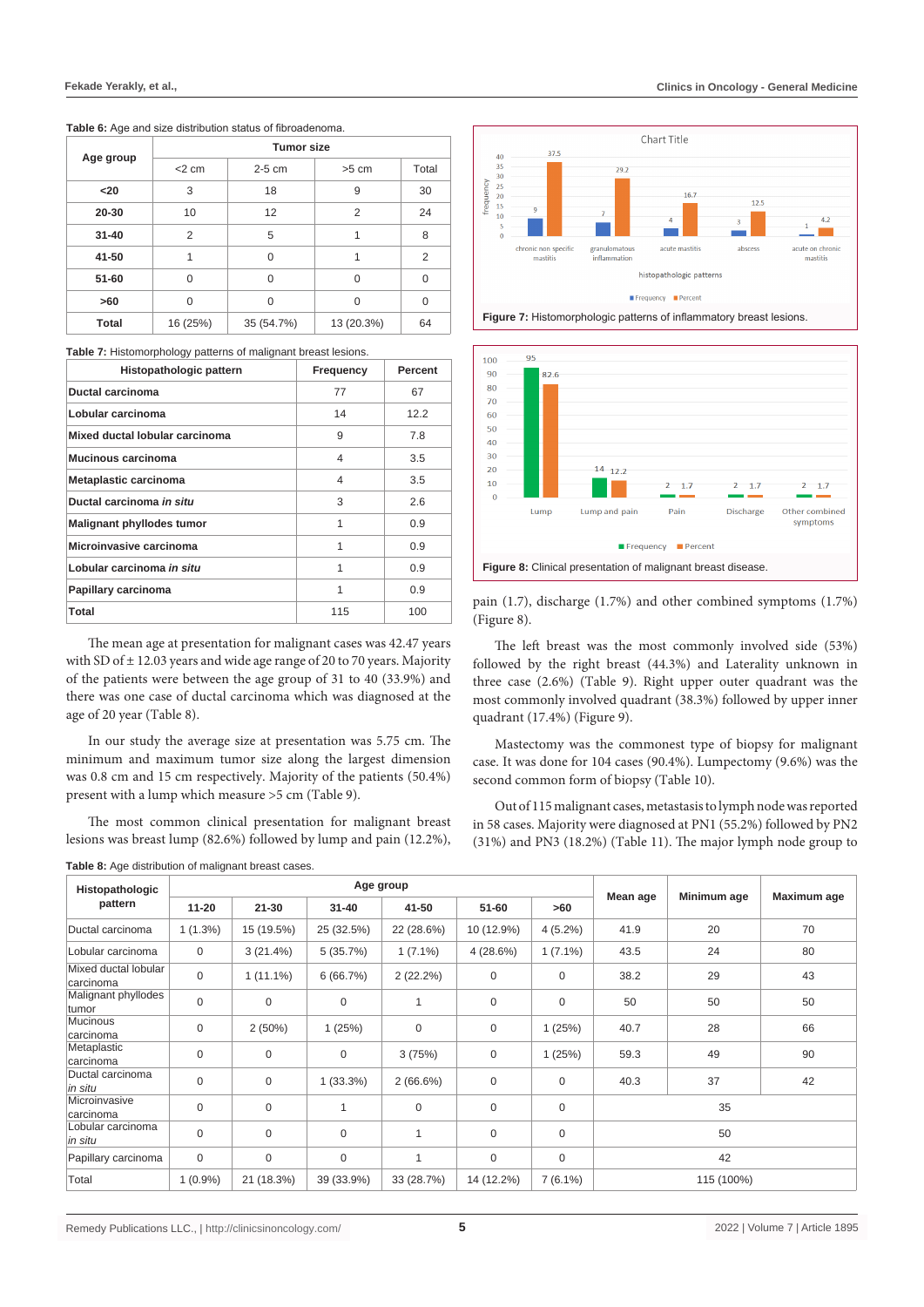|  | <b>Tumor size</b> |          |          |         |       |  |  |
|--|-------------------|----------|----------|---------|-------|--|--|
|  | Age group         | $<$ 2 cm | $2-5$ cm | $>5$ cm | Total |  |  |
|  | $20$              | 3        | 18       | 9       | 30    |  |  |
|  | 20-30             | 10       | 12       |         | 24    |  |  |
|  | $31 - 40$         |          | 'n.      |         | 8     |  |  |

**41-50** 1 0 1 2 **51-60** 0 0 0 0 0 **>60** 0 0 0 0 0 **Total** 16 (25%) 35 (54.7%) 13 (20.3%) 64

**Table 6:** Age and size distribution status of fibroadenoma.

**Table 7:** Histomorphology patterns of malignant breast lesions.

| Histopathologic pattern          | Frequency | Percent |
|----------------------------------|-----------|---------|
| Ductal carcinoma                 | 77        | 67      |
| Lobular carcinoma                | 14        | 12.2    |
| Mixed ductal lobular carcinoma   | 9         | 7.8     |
| Mucinous carcinoma               | 4         | 3.5     |
| Metaplastic carcinoma            | 4         | 3.5     |
| Ductal carcinoma in situ         | 3         | 2.6     |
| <b>Malignant phyllodes tumor</b> | 1         | 0.9     |
| Microinvasive carcinoma          | 1         | 0.9     |
| Lobular carcinoma in situ        | 1         | 0.9     |
| Papillary carcinoma              | 1         | 0.9     |
| Total                            | 115       | 100     |

The mean age at presentation for malignant cases was 42.47 years with SD of  $\pm$  12.03 years and wide age range of 20 to 70 years. Majority of the patients were between the age group of 31 to 40 (33.9%) and there was one case of ductal carcinoma which was diagnosed at the age of 20 year (Table 8).

In our study the average size at presentation was 5.75 cm. The minimum and maximum tumor size along the largest dimension was 0.8 cm and 15 cm respectively. Majority of the patients (50.4%) present with a lump which measure >5 cm (Table 9).

The most common clinical presentation for malignant breast lesions was breast lump (82.6%) followed by lump and pain (12.2%),

| Table 8: Age distribution of malignant breast cases. |  |  |
|------------------------------------------------------|--|--|
|                                                      |  |  |







pain (1.7), discharge (1.7%) and other combined symptoms (1.7%) (Figure 8).

The left breast was the most commonly involved side (53%) followed by the right breast (44.3%) and Laterality unknown in three case (2.6%) (Table 9). Right upper outer quadrant was the most commonly involved quadrant (38.3%) followed by upper inner quadrant (17.4%) (Figure 9).

Mastectomy was the commonest type of biopsy for malignant case. It was done for 104 cases (90.4%). Lumpectomy (9.6%) was the second common form of biopsy (Table 10).

Out of 115 malignant cases, metastasis to lymph node was reported in 58 cases. Majority were diagnosed at PN1 (55.2%) followed by PN2 (31%) and PN3 (18.2%) (Table 11). The major lymph node group to

| Histopathologic                   |             |             |             | Age group      |                  |             | Mean age | Minimum age | Maximum age |  |
|-----------------------------------|-------------|-------------|-------------|----------------|------------------|-------------|----------|-------------|-------------|--|
| pattern                           | $11 - 20$   | $21 - 30$   | $31 - 40$   | 41-50          | 51-60            | >60         |          |             |             |  |
| Ductal carcinoma                  | $1(1.3\%)$  | 15 (19.5%)  | 25 (32.5%)  | 22 (28.6%)     | 10 (12.9%)       | $4(5.2\%)$  | 41.9     | 20          | 70          |  |
| Lobular carcinoma                 | $\mathbf 0$ | $3(21.4\%)$ | 5(35.7%)    | $1(7.1\%)$     | 4(28.6%)         | $1(7.1\%)$  | 43.5     | 24          | 80          |  |
| Mixed ductal lobular<br>carcinoma | $\mathbf 0$ | $1(11.1\%)$ | 6(66.7%)    | 2(22.2%)       | 0                | 0           | 38.2     | 29          | 43          |  |
| Malignant phyllodes<br>tumor      | $\mathbf 0$ | $\mathbf 0$ | $\mathbf 0$ |                | $\boldsymbol{0}$ | $\mathbf 0$ | 50       | 50          | 50          |  |
| Mucinous<br>carcinoma             | $\mathbf 0$ | 2(50%)      | 1(25%)      | $\mathbf 0$    | $\boldsymbol{0}$ | 1(25%)      | 40.7     | 28          | 66          |  |
| Metaplastic<br>carcinoma          | $\mathbf 0$ | $\mathbf 0$ | $\mathbf 0$ | 3(75%)         | $\boldsymbol{0}$ | 1(25%)      | 59.3     | 49          | 90          |  |
| Ductal carcinoma<br>in situ       | $\mathbf 0$ | $\mathbf 0$ | $1(33.3\%)$ | $2(66.6\%)$    | $\boldsymbol{0}$ | 0           | 40.3     | 37          | 42          |  |
| Microinvasive<br>carcinoma        | $\mathbf 0$ | $\mathbf 0$ | 1           | $\mathbf{0}$   | $\boldsymbol{0}$ | $\mathbf 0$ |          | 35          |             |  |
| Lobular carcinoma<br>in situ      | $\mathbf 0$ | $\mathbf 0$ | $\mathbf 0$ | 1              | $\boldsymbol{0}$ | $\mathbf 0$ |          | 50          |             |  |
| Papillary carcinoma               | $\mathbf 0$ | $\mathbf 0$ | $\mathbf 0$ | $\overline{A}$ | $\boldsymbol{0}$ | $\mathbf 0$ |          | 42          |             |  |
| Total                             | $1(0.9\%)$  | 21 (18.3%)  | 39 (33.9%)  | 33 (28.7%)     | 14 (12.2%)       | $7(6.1\%)$  |          | 115 (100%)  |             |  |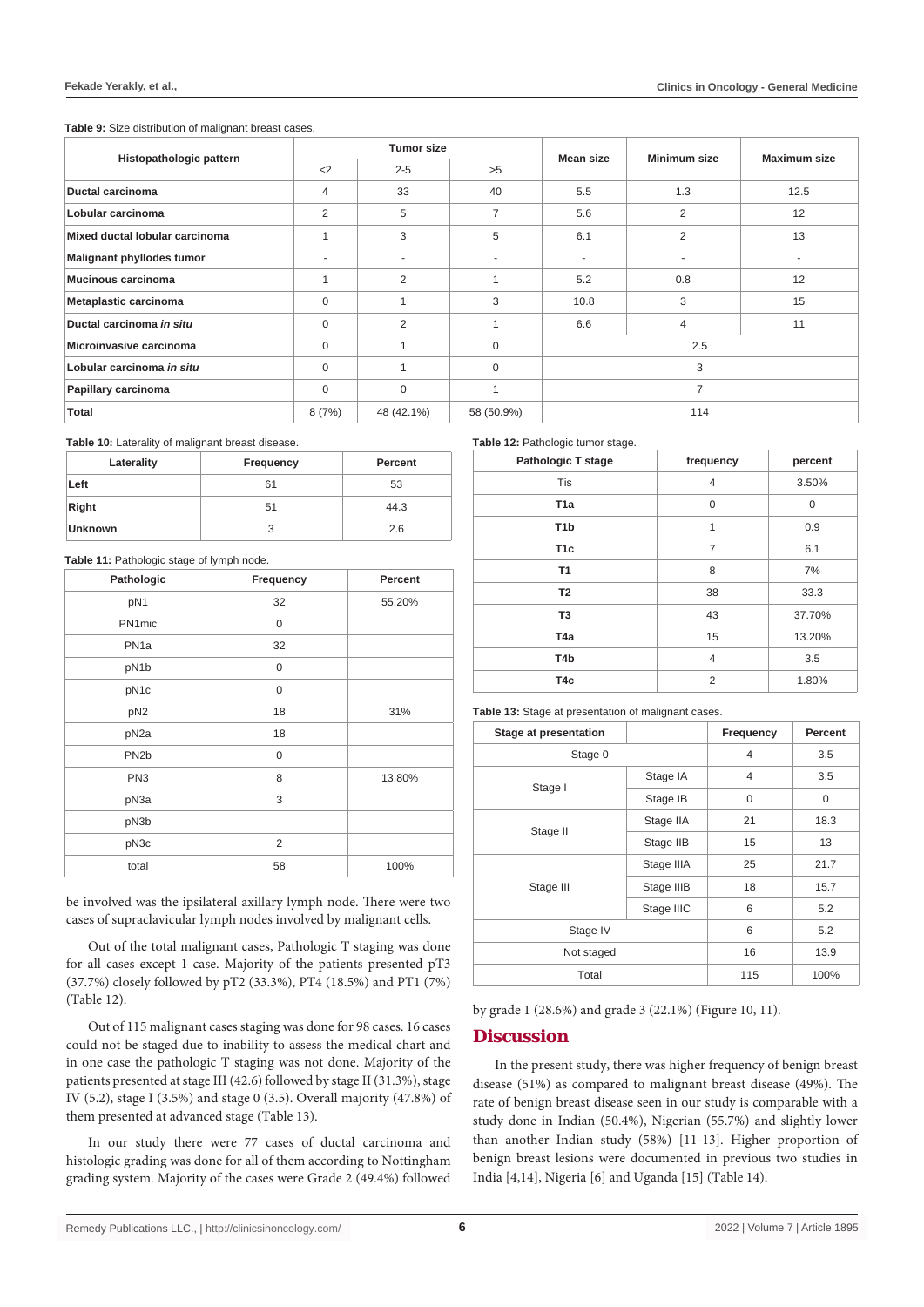**Table 9:** Size distribution of malignant breast cases.

|                                                   |                | <b>Tumor size</b> |                     | Mean size      |                |      |
|---------------------------------------------------|----------------|-------------------|---------------------|----------------|----------------|------|
| Histopathologic pattern<br>$<$ 2<br>$2 - 5$<br>>5 |                | Minimum size      | <b>Maximum size</b> |                |                |      |
| <b>Ductal carcinoma</b>                           | $\overline{4}$ | 33                | 40                  | 5.5            | 1.3            | 12.5 |
| Lobular carcinoma                                 | 2              | 5                 | $\overline{7}$      | 5.6            | $\overline{2}$ | 12   |
| Mixed ductal lobular carcinoma                    |                | 3                 | 5                   | 6.1            | $\overline{2}$ | 13   |
| Malignant phyllodes tumor                         |                |                   |                     | ۰              |                |      |
| Mucinous carcinoma                                |                | 2                 | $\overline{A}$      | 5.2            | 0.8            | 12   |
| Metaplastic carcinoma                             | 0              |                   | 3                   | 10.8           | 3              | 15   |
| Ductal carcinoma in situ                          | 0              | 2                 |                     | 6.6            | $\overline{4}$ | 11   |
| Microinvasive carcinoma                           | 0              |                   | $\mathbf 0$         |                | 2.5            |      |
| Lobular carcinoma in situ                         | 0              |                   | $\mathbf 0$         | 3              |                |      |
| Papillary carcinoma                               | 0              | 0                 | 1                   | $\overline{7}$ |                |      |
| <b>Total</b>                                      | 8(7%)          | 48 (42.1%)        | 58 (50.9%)          |                | 114            |      |

**Table 10:** Laterality of malignant breast disease.

| Laterality     | Frequency | Percent |
|----------------|-----------|---------|
| Left           | 61        | 53      |
| Right          | 51        | 44.3    |
| <b>Unknown</b> | 3         | 2.6     |

#### Table 11: Pathologic stage of lymph node.

| Pathologic        | Frequency   | Percent |  |
|-------------------|-------------|---------|--|
| pN1               | 32          | 55.20%  |  |
| PN1mic            | 0           |         |  |
| PN <sub>1a</sub>  | 32          |         |  |
| pN1b              | $\mathbf 0$ |         |  |
| pN1c              | $\mathbf 0$ |         |  |
| pN <sub>2</sub>   | 18          | 31%     |  |
| pN <sub>2a</sub>  | 18          |         |  |
| PN <sub>2</sub> b | 0           |         |  |
| PN <sub>3</sub>   | 8           | 13.80%  |  |
| pN3a              | 3           |         |  |
| pN3b              |             |         |  |
| pN3c              | 2           |         |  |
| total             | 58          | 100%    |  |

be involved was the ipsilateral axillary lymph node. There were two cases of supraclavicular lymph nodes involved by malignant cells.

Out of the total malignant cases, Pathologic T staging was done for all cases except 1 case. Majority of the patients presented pT3 (37.7%) closely followed by pT2 (33.3%), PT4 (18.5%) and PT1 (7%) (Table 12).

Out of 115 malignant cases staging was done for 98 cases. 16 cases could not be staged due to inability to assess the medical chart and in one case the pathologic T staging was not done. Majority of the patients presented at stage III (42.6) followed by stage II (31.3%), stage IV (5.2), stage I (3.5%) and stage 0 (3.5). Overall majority (47.8%) of them presented at advanced stage (Table 13).

In our study there were 77 cases of ductal carcinoma and histologic grading was done for all of them according to Nottingham grading system. Majority of the cases were Grade 2 (49.4%) followed

Remedy Publications LLC., | http://clinicsinoncology.com/ 2022 | Volume 7 | Article 1895

**Table 12:** Pathologic tumor stage.

| <b>Pathologic T stage</b> | frequency      | percent |
|---------------------------|----------------|---------|
| <b>Tis</b>                | $\overline{4}$ | 3.50%   |
| T <sub>1</sub> a          | $\mathbf 0$    | 0       |
| T <sub>1</sub> b          | 1              | 0.9     |
| T <sub>1c</sub>           | $\overline{7}$ | 6.1     |
| <b>T1</b>                 | 8              | 7%      |
| T <sub>2</sub>            | 38             | 33.3    |
| T <sub>3</sub>            | 43             | 37.70%  |
| T <sub>4a</sub>           | 15             | 13.20%  |
| T4b                       | $\overline{4}$ | 3.5     |
| T <sub>4</sub> c          | $\overline{2}$ | 1.80%   |

**Table 13:** Stage at presentation of malignant cases.

| <b>Stage at presentation</b> |            | Frequency      | Percent |
|------------------------------|------------|----------------|---------|
| Stage 0                      |            |                | 3.5     |
| Stage I                      | Stage IA   | $\overline{4}$ | 3.5     |
|                              | Stage IB   | 0              | 0       |
| Stage II                     | Stage IIA  | 21             | 18.3    |
|                              | Stage IIB  | 15             | 13      |
| Stage III                    | Stage IIIA | 25             | 21.7    |
|                              | Stage IIIB | 18             | 15.7    |
|                              | Stage IIIC | 6              | 5.2     |
| Stage IV                     |            | 6              | 5.2     |
| Not staged                   |            | 16             | 13.9    |
| Total                        |            | 115            | 100%    |

by grade 1 (28.6%) and grade 3 (22.1%) (Figure 10, 11).

## **Discussion**

In the present study, there was higher frequency of benign breast disease (51%) as compared to malignant breast disease (49%). The rate of benign breast disease seen in our study is comparable with a study done in Indian (50.4%), Nigerian (55.7%) and slightly lower than another Indian study (58%) [11-13]. Higher proportion of benign breast lesions were documented in previous two studies in India [4,14], Nigeria [6] and Uganda [15] (Table 14).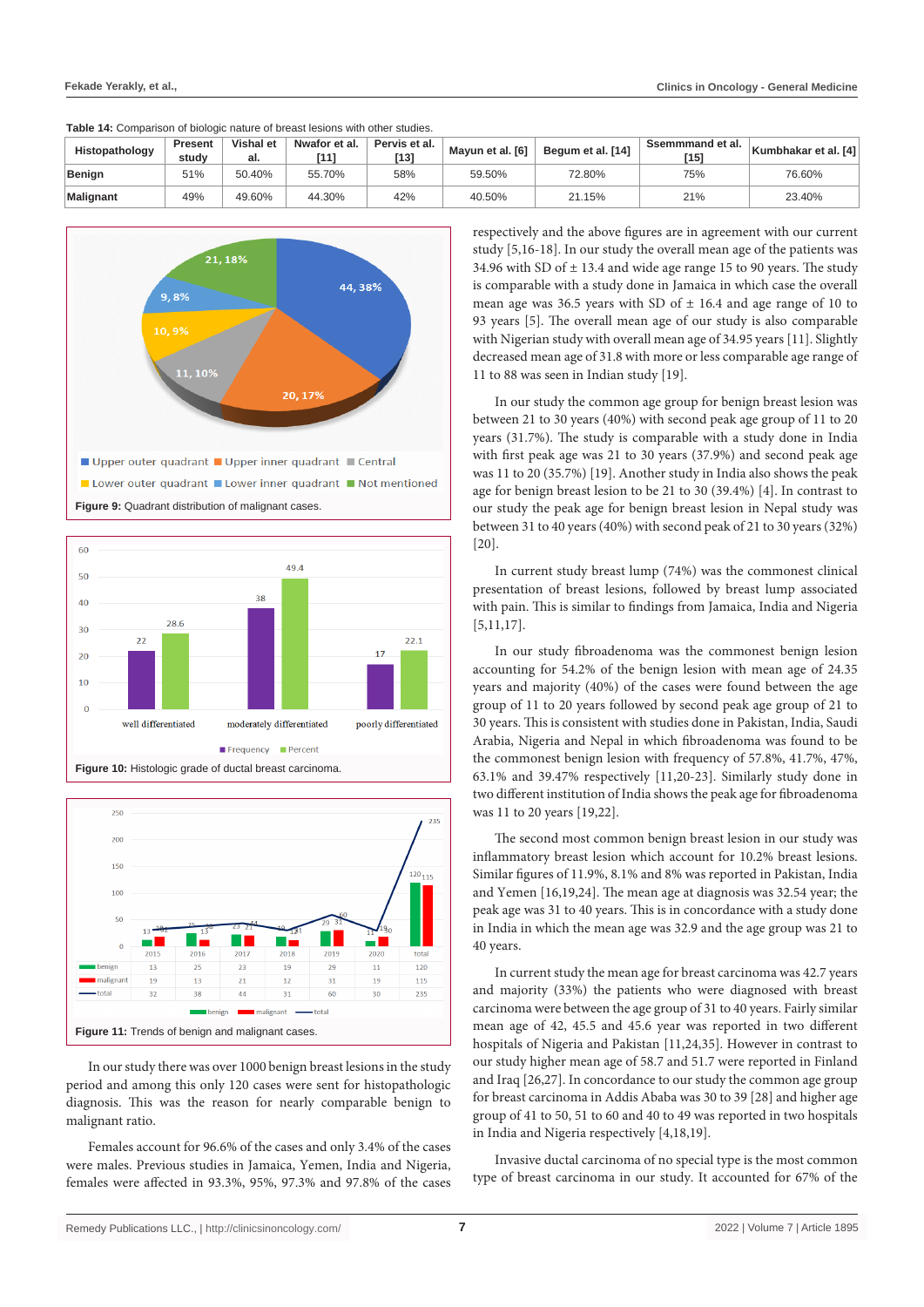| Table 14: Comparison of biologic nature of breast lesions with other studies. |  |
|-------------------------------------------------------------------------------|--|
|-------------------------------------------------------------------------------|--|

| Histopathology   | <b>Present</b><br>studv | <b>Vishal et</b><br>al. | Nwafor et al. | Pervis et al.<br>$[13]$ | Mayun et al. [6] | Begum et al. [14] | Ssemmmand et al.<br>[15] | Kumbhakar et al. [4] |
|------------------|-------------------------|-------------------------|---------------|-------------------------|------------------|-------------------|--------------------------|----------------------|
| Benign           | 51%                     | 50.40%                  | 55.70%        | 58%                     | 59.50%           | 72.80%            | 75%                      | 76.60%               |
| <b>Malignant</b> | 49%                     | 49.60%                  | 44.30%        | 42%                     | 40.50%           | 21.15%            | 21%                      | 23.40%               |







In our study there was over 1000 benign breast lesions in the study period and among this only 120 cases were sent for histopathologic diagnosis. This was the reason for nearly comparable benign to malignant ratio.

Females account for 96.6% of the cases and only 3.4% of the cases were males. Previous studies in Jamaica, Yemen, India and Nigeria, females were affected in 93.3%, 95%, 97.3% and 97.8% of the cases respectively and the above figures are in agreement with our current study [5,16-18]. In our study the overall mean age of the patients was 34.96 with SD of  $\pm$  13.4 and wide age range 15 to 90 years. The study is comparable with a study done in Jamaica in which case the overall mean age was 36.5 years with SD of  $\pm$  16.4 and age range of 10 to 93 years [5]. The overall mean age of our study is also comparable with Nigerian study with overall mean age of 34.95 years [11]. Slightly decreased mean age of 31.8 with more or less comparable age range of 11 to 88 was seen in Indian study [19].

In our study the common age group for benign breast lesion was between 21 to 30 years (40%) with second peak age group of 11 to 20 years (31.7%). The study is comparable with a study done in India with first peak age was 21 to 30 years (37.9%) and second peak age was 11 to 20 (35.7%) [19]. Another study in India also shows the peak age for benign breast lesion to be 21 to 30 (39.4%) [4]. In contrast to our study the peak age for benign breast lesion in Nepal study was between 31 to 40 years (40%) with second peak of 21 to 30 years (32%) [20].

In current study breast lump (74%) was the commonest clinical presentation of breast lesions, followed by breast lump associated with pain. This is similar to findings from Jamaica, India and Nigeria [5,11,17].

In our study fibroadenoma was the commonest benign lesion accounting for 54.2% of the benign lesion with mean age of 24.35 years and majority (40%) of the cases were found between the age group of 11 to 20 years followed by second peak age group of 21 to 30 years. This is consistent with studies done in Pakistan, India, Saudi Arabia, Nigeria and Nepal in which fibroadenoma was found to be the commonest benign lesion with frequency of 57.8%, 41.7%, 47%, 63.1% and 39.47% respectively [11,20-23]. Similarly study done in two different institution of India shows the peak age for fibroadenoma was 11 to 20 years [19,22].

The second most common benign breast lesion in our study was inflammatory breast lesion which account for 10.2% breast lesions. Similar figures of 11.9%, 8.1% and 8% was reported in Pakistan, India and Yemen [16,19,24]. The mean age at diagnosis was 32.54 year; the peak age was 31 to 40 years. This is in concordance with a study done in India in which the mean age was 32.9 and the age group was 21 to 40 years.

In current study the mean age for breast carcinoma was 42.7 years and majority (33%) the patients who were diagnosed with breast carcinoma were between the age group of 31 to 40 years. Fairly similar mean age of 42, 45.5 and 45.6 year was reported in two different hospitals of Nigeria and Pakistan [11,24,35]. However in contrast to our study higher mean age of 58.7 and 51.7 were reported in Finland and Iraq [26,27]. In concordance to our study the common age group for breast carcinoma in Addis Ababa was 30 to 39 [28] and higher age group of 41 to 50, 51 to 60 and 40 to 49 was reported in two hospitals in India and Nigeria respectively [4,18,19].

Invasive ductal carcinoma of no special type is the most common type of breast carcinoma in our study. It accounted for 67% of the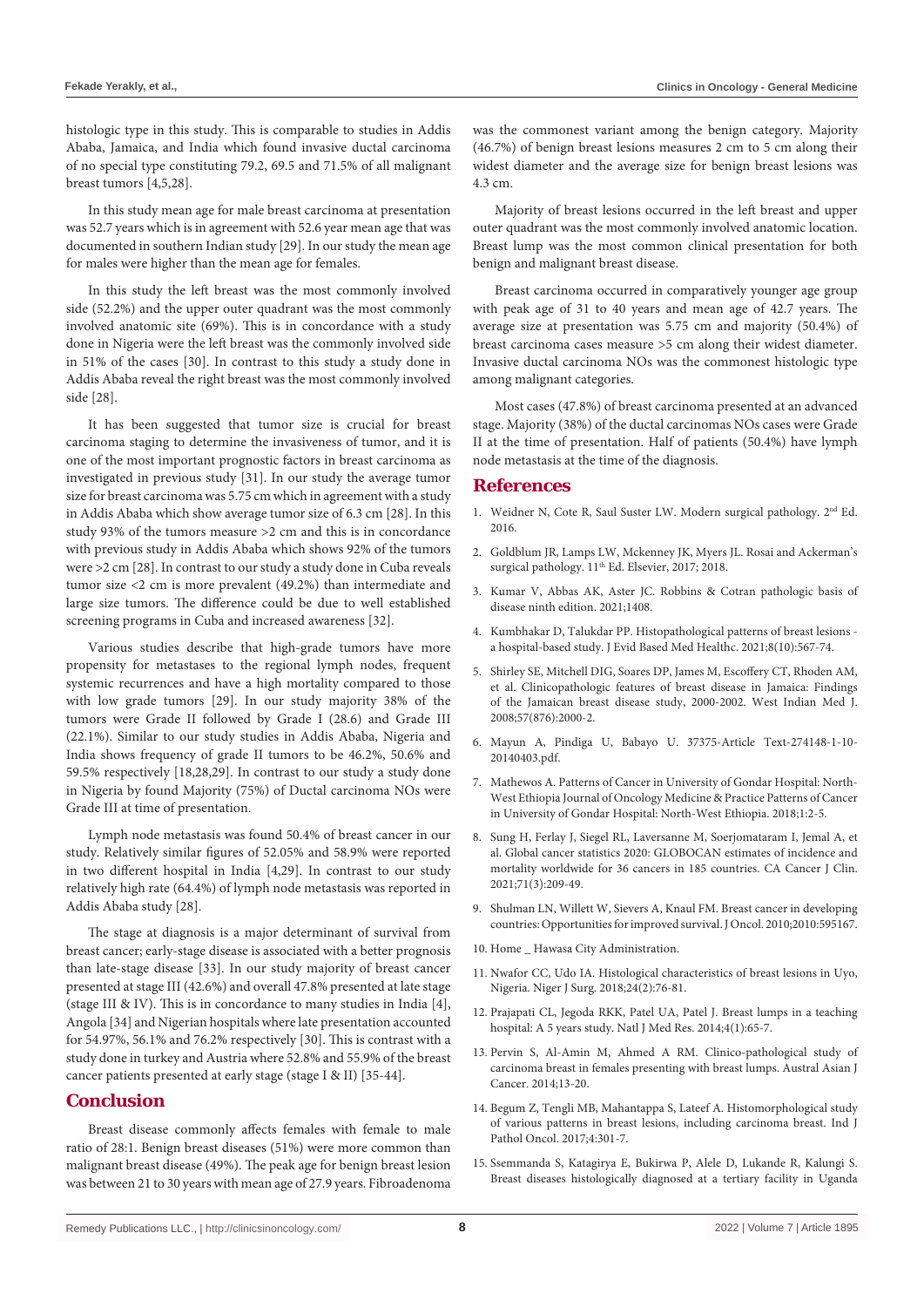histologic type in this study. This is comparable to studies in Addis Ababa, Jamaica, and India which found invasive ductal carcinoma of no special type constituting 79.2, 69.5 and 71.5% of all malignant breast tumors [4,5,28].

In this study mean age for male breast carcinoma at presentation was 52.7 years which is in agreement with 52.6 year mean age that was documented in southern Indian study [29]. In our study the mean age for males were higher than the mean age for females.

In this study the left breast was the most commonly involved side (52.2%) and the upper outer quadrant was the most commonly involved anatomic site (69%). This is in concordance with a study done in Nigeria were the left breast was the commonly involved side in 51% of the cases [30]. In contrast to this study a study done in Addis Ababa reveal the right breast was the most commonly involved side [28].

It has been suggested that tumor size is crucial for breast carcinoma staging to determine the invasiveness of tumor, and it is one of the most important prognostic factors in breast carcinoma as investigated in previous study [31]. In our study the average tumor size for breast carcinoma was 5.75 cm which in agreement with a study in Addis Ababa which show average tumor size of 6.3 cm [28]. In this study 93% of the tumors measure >2 cm and this is in concordance with previous study in Addis Ababa which shows 92% of the tumors were >2 cm [28]. In contrast to our study a study done in Cuba reveals tumor size <2 cm is more prevalent (49.2%) than intermediate and large size tumors. The difference could be due to well established screening programs in Cuba and increased awareness [32].

Various studies describe that high-grade tumors have more propensity for metastases to the regional lymph nodes, frequent systemic recurrences and have a high mortality compared to those with low grade tumors [29]. In our study majority 38% of the tumors were Grade II followed by Grade I (28.6) and Grade III (22.1%). Similar to our study studies in Addis Ababa, Nigeria and India shows frequency of grade II tumors to be 46.2%, 50.6% and 59.5% respectively [18,28,29]. In contrast to our study a study done in Nigeria by found Majority (75%) of Ductal carcinoma NOs were Grade III at time of presentation.

Lymph node metastasis was found 50.4% of breast cancer in our study. Relatively similar figures of 52.05% and 58.9% were reported in two different hospital in India [4,29]. In contrast to our study relatively high rate (64.4%) of lymph node metastasis was reported in Addis Ababa study [28].

The stage at diagnosis is a major determinant of survival from breast cancer; early-stage disease is associated with a better prognosis than late-stage disease [33]. In our study majority of breast cancer presented at stage III (42.6%) and overall 47.8% presented at late stage (stage III & IV). This is in concordance to many studies in India [4], Angola [34] and Nigerian hospitals where late presentation accounted for 54.97%, 56.1% and 76.2% respectively [30]. This is contrast with a study done in turkey and Austria where 52.8% and 55.9% of the breast cancer patients presented at early stage (stage I & II) [35-44].

#### **Conclusion**

Breast disease commonly affects females with female to male ratio of 28:1. Benign breast diseases (51%) were more common than malignant breast disease (49%). The peak age for benign breast lesion was between 21 to 30 years with mean age of 27.9 years. Fibroadenoma was the commonest variant among the benign category. Majority (46.7%) of benign breast lesions measures 2 cm to 5 cm along their widest diameter and the average size for benign breast lesions was 4.3 cm.

Majority of breast lesions occurred in the left breast and upper outer quadrant was the most commonly involved anatomic location. Breast lump was the most common clinical presentation for both benign and malignant breast disease.

Breast carcinoma occurred in comparatively younger age group with peak age of 31 to 40 years and mean age of 42.7 years. The average size at presentation was 5.75 cm and majority (50.4%) of breast carcinoma cases measure >5 cm along their widest diameter. Invasive ductal carcinoma NOs was the commonest histologic type among malignant categories.

Most cases (47.8%) of breast carcinoma presented at an advanced stage. Majority (38%) of the ductal carcinomas NOs cases were Grade II at the time of presentation. Half of patients (50.4%) have lymph node metastasis at the time of the diagnosis.

#### **References**

- 1. Weidner N, Cote R, Saul Suster LW. Modern surgical pathology. 2nd Ed. 2016.
- 2. [Goldblum JR, Lamps LW, Mckenney JK, Myers JL. Rosai and Ackerman's](https://www.us.elsevierhealth.com/rosai-and-ackermans-surgical-pathology-2-volume-set-9780323263399.html)  surgical pathology.  $11<sup>th</sup>$  Ed. Elsevier, 2017; 2018.
- 3. [Kumar V, Abbas AK, Aster JC. Robbins & Cotran pathologic basis of](https://www.eu.elsevierhealth.com/robbins-cotran-pathologic-basis-of-disease-9781455726134.html)  [disease ninth edition. 2021;1408.](https://www.eu.elsevierhealth.com/robbins-cotran-pathologic-basis-of-disease-9781455726134.html)
- 4. [Kumbhakar D, Talukdar PP. Histopathological patterns of breast lesions](https://journals.indexcopernicus.com/api/file/viewByFileId/1194894.pdf)  [a hospital-based study. J Evid Based Med Healthc. 2021;8\(10\):567-74.](https://journals.indexcopernicus.com/api/file/viewByFileId/1194894.pdf)
- 5. [Shirley SE, Mitchell DIG, Soares DP, James M, Escoffery CT, Rhoden AM,](https://pubmed.ncbi.nlm.nih.gov/19565948/)  [et al. Clinicopathologic features of breast disease in Jamaica: Findings](https://pubmed.ncbi.nlm.nih.gov/19565948/)  [of the Jamaican breast disease study, 2000-2002. West Indian Med J.](https://pubmed.ncbi.nlm.nih.gov/19565948/)  [2008;57\(876\):2000-2.](https://pubmed.ncbi.nlm.nih.gov/19565948/)
- 6. Mayun A, Pindiga U, Babayo U. 37375-Article Text-274148-1-10- 20140403.pdf.
- 7. Mathewos A. Patterns of Cancer in University of Gondar Hospital: North-West Ethiopia Journal of Oncology Medicine & Practice Patterns of Cancer in University of Gondar Hospital: North-West Ethiopia. 2018;1:2-5.
- 8. [Sung H, Ferlay J, Siegel RL, Laversanne M, Soerjomataram I, Jemal A, et](https://pubmed.ncbi.nlm.nih.gov/33538338/)  [al. Global cancer statistics 2020: GLOBOCAN estimates of incidence and](https://pubmed.ncbi.nlm.nih.gov/33538338/)  [mortality worldwide for 36 cancers in 185 countries. CA Cancer J Clin.](https://pubmed.ncbi.nlm.nih.gov/33538338/)  [2021;71\(3\):209-49.](https://pubmed.ncbi.nlm.nih.gov/33538338/)
- 9. [Shulman LN, Willett W, Sievers A, Knaul FM. Breast cancer in developing](https://pubmed.ncbi.nlm.nih.gov/21253541/)  [countries: Opportunities for improved survival. J Oncol. 2010;2010:595167.](https://pubmed.ncbi.nlm.nih.gov/21253541/)
- 10. Home \_ Hawasa City Administration.
- 11. [Nwafor CC, Udo IA. Histological characteristics of breast lesions in Uyo,](https://www.ncbi.nlm.nih.gov/pmc/articles/PMC6158984/#:~:text=Malignant breast diseases (MBD) accounted,the most common inflammatory lesion.)  [Nigeria. Niger J Surg. 2018;24\(2\):76-81.](https://www.ncbi.nlm.nih.gov/pmc/articles/PMC6158984/#:~:text=Malignant breast diseases (MBD) accounted,the most common inflammatory lesion.)
- 12. [Prajapati CL, Jegoda RKK, Patel UA, Patel J. Breast lumps in a teaching](https://www.bibliomed.org/?mno=156583)  [hospital: A 5 years study. Natl J Med Res. 2014;4\(1\):65-7.](https://www.bibliomed.org/?mno=156583)
- 13. Pervin S, Al-Amin M, Ahmed A RM. Clinico-pathological study of carcinoma breast in females presenting with breast lumps. Austral Asian J Cancer. 2014;13-20.
- 14. [Begum Z, Tengli MB, Mahantappa S, Lateef A. Histomorphological study](https://www.ipinnovative.com/journal-article-file/4222)  [of various patterns in breast lesions, including carcinoma breast. Ind J](https://www.ipinnovative.com/journal-article-file/4222)  [Pathol Oncol. 2017;4:301-7.](https://www.ipinnovative.com/journal-article-file/4222)
- 15. [Ssemmanda S, Katagirya E, Bukirwa P, Alele D, Lukande R, Kalungi S.](https://pubmed.ncbi.nlm.nih.gov/30577784/)  [Breast diseases histologically diagnosed at a tertiary facility in Uganda](https://pubmed.ncbi.nlm.nih.gov/30577784/)